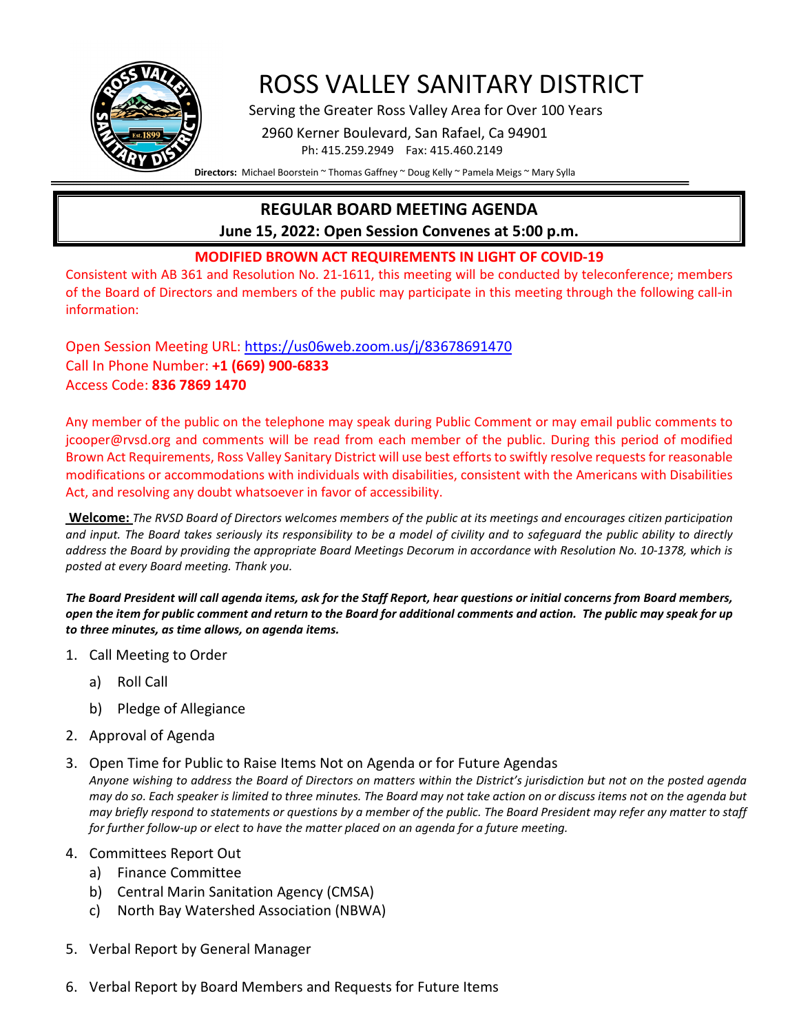

# ROSS VALLEY SANITARY DISTRICT<br>Serving the Greater Ross Valley Area for Over 100 Years

 2960 Kerner Boulevard, San Rafael, Ca 94901 Ph: 415.259.2949 Fax: 415.460.2149

**Directors:** Michael Boorstein ~ Thomas Gaffney ~ Doug Kelly ~ Pamela Meigs ~ Mary Sylla

## **REGULAR BOARD MEETING AGENDA**

**June 15, 2022: Open Session Convenes at 5:00 p.m.**

## **MODIFIED BROWN ACT REQUIREMENTS IN LIGHT OF COVID-19**

Consistent with AB 361 and Resolution No. 21-1611, this meeting will be conducted by teleconference; members of the Board of Directors and members of the public may participate in this meeting through the following call-in information:

Open Session Meeting URL: <https://us06web.zoom.us/j/83678691470> Call In Phone Number: **+1 (669) 900-6833** Access Code: **836 7869 1470**

Any member of the public on the telephone may speak during Public Comment or may email public comments to jcooper@rvsd.org and comments will be read from each member of the public. During this period of modified Brown Act Requirements, Ross Valley Sanitary District will use best efforts to swiftly resolve requests for reasonable modifications or accommodations with individuals with disabilities, consistent with the Americans with Disabilities Act, and resolving any doubt whatsoever in favor of accessibility.

**Welcome:** *The RVSD Board of Directors welcomes members of the public at its meetings and encourages citizen participation and input. The Board takes seriously its responsibility to be a model of civility and to safeguard the public ability to directly address the Board by providing the appropriate Board Meetings Decorum in accordance with Resolution No. 10-1378, which is posted at every Board meeting. Thank you.*

*The Board President will call agenda items, ask for the Staff Report, hear questions or initial concerns from Board members, open the item for public comment and return to the Board for additional comments and action. The public may speak for up to three minutes, as time allows, on agenda items.*

- 1. Call Meeting to Order
	- a) Roll Call
	- b) Pledge of Allegiance
- 2. Approval of Agenda
- 3. Open Time for Public to Raise Items Not on Agenda or for Future Agendas

*Anyone wishing to address the Board of Directors on matters within the District's jurisdiction but not on the posted agenda may do so. Each speaker is limited to three minutes. The Board may not take action on or discuss items not on the agenda but may briefly respond to statements or questions by a member of the public. The Board President may refer any matter to staff for further follow-up or elect to have the matter placed on an agenda for a future meeting.*

- 4. Committees Report Out
	- a) Finance Committee
	- b) Central Marin Sanitation Agency (CMSA)
	- c) North Bay Watershed Association (NBWA)
- 5. Verbal Report by General Manager
- 6. Verbal Report by Board Members and Requests for Future Items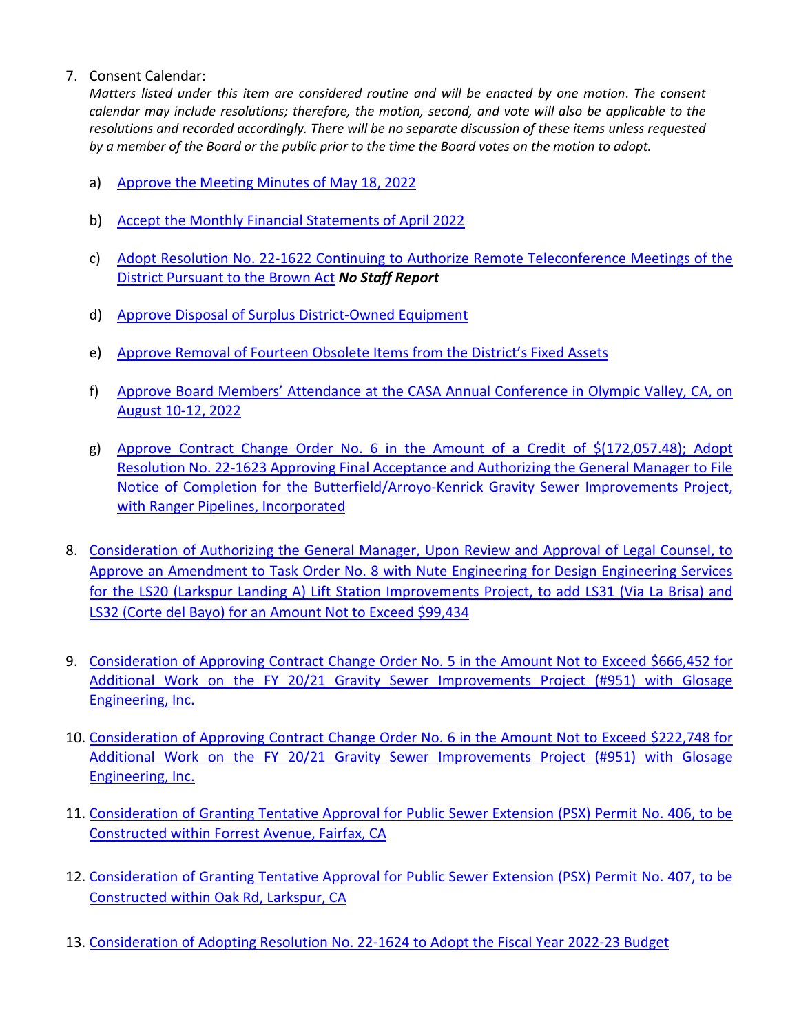## 7. Consent Calendar:

*Matters listed under this item are considered routine and will be enacted by one motion*. *The consent calendar may include resolutions; therefore, the motion, second, and vote will also be applicable to the resolutions and recorded accordingly. There will be no separate discussion of these items unless requested by a member of the Board or the public prior to the time the Board votes on the motion to adopt.*

- a) [Approve the Meeting Minutes of May 18, 2022](https://www.rvsd.org/DocumentCenter/View/2563/ITEM-7a)
- b) Accept the Monthly [Financial Statements of April](https://www.rvsd.org/DocumentCenter/View/2564/ITEM-7b) 2022
- c) Adopt Resolution No. 22-1622 [Continuing to Authorize Remote Teleconference Meetings of the](https://www.rvsd.org/DocumentCenter/View/2565/ITEM-7c)  [District Pursuant to the Brown Act](https://www.rvsd.org/DocumentCenter/View/2565/ITEM-7c) *No Staff Report*
- d) [Approve Disposal of Surplus District-Owned Equipment](https://www.rvsd.org/DocumentCenter/View/2566/ITEM-7d)
- e) [Approve Removal of Fourteen Obsolete Items from the District's Fixed Assets](https://www.rvsd.org/DocumentCenter/View/2567/ITEM-7e)
- f) [Approve Board Members' Attendance at the CASA Annual Conference in Olympic Valley, CA, on](https://www.rvsd.org/DocumentCenter/View/2568/ITEM-7f)  [August 10-12, 2022](https://www.rvsd.org/DocumentCenter/View/2568/ITEM-7f)
- g) [Approve Contract Change Order No. 6 in the Amount of a](https://www.rvsd.org/DocumentCenter/View/2569/ITEM-7g) Credit of \$(172,057.48); Adopt Resolution No. 22-1623 [Approving Final Acceptance and Authorizing the General Manager to File](https://www.rvsd.org/DocumentCenter/View/2569/ITEM-7g)  [Notice of Completion for the Butterfield/Arroyo-Kenrick Gravity Sewer Improvements Project,](https://www.rvsd.org/DocumentCenter/View/2569/ITEM-7g)  [with Ranger Pipelines, Incorporated](https://www.rvsd.org/DocumentCenter/View/2569/ITEM-7g)
- 8. [Consideration of Authorizing the General Manager, Upon Review and Approval of Legal Counsel, to](https://www.rvsd.org/DocumentCenter/View/2570/ITEM-8)  [Approve an Amendment to Task Order No. 8 with Nute Engineering for Design Engineering Services](https://www.rvsd.org/DocumentCenter/View/2570/ITEM-8)  [for the LS20 \(Larkspur Landing A\) Lift Station Improvements Project, to add LS31 \(Via La Brisa\) and](https://www.rvsd.org/DocumentCenter/View/2570/ITEM-8)  [LS32 \(Corte del Bayo\) for an Amount Not to Exceed \\$99,434](https://www.rvsd.org/DocumentCenter/View/2570/ITEM-8)
- 9. [Consideration of Approving Contract Change Order No. 5 in the Amount Not to Exceed \\$666,452 for](https://www.rvsd.org/DocumentCenter/View/2571/ITEM-9)  [Additional Work on the FY 20/21 Gravity Sewer Improvements Project \(#951\) with Glosage](https://www.rvsd.org/DocumentCenter/View/2571/ITEM-9)  [Engineering, Inc.](https://www.rvsd.org/DocumentCenter/View/2571/ITEM-9)
- 10. [Consideration of Approving Contract Change Order No. 6 in the Amount Not to Exceed \\$222,748 for](https://www.rvsd.org/DocumentCenter/View/2576/ITEM-10)  [Additional Work on the FY 20/21 Gravity Sewer Improvements Project \(#951\) with](https://www.rvsd.org/DocumentCenter/View/2576/ITEM-10) Glosage [Engineering, Inc.](https://www.rvsd.org/DocumentCenter/View/2576/ITEM-10)
- 11. [Consideration of Granting Tentative Approval for Public Sewer Extension \(PSX\) Permit No. 406, to be](https://www.rvsd.org/DocumentCenter/View/2572/ITEM-11)  [Constructed within Forrest Avenue, Fairfax, CA](https://www.rvsd.org/DocumentCenter/View/2572/ITEM-11)
- 12. [Consideration of Granting Tentative Approval for Public Sewer Extension \(PSX\) Permit No. 407, to be](https://www.rvsd.org/DocumentCenter/View/2573/ITEM-12)  [Constructed within Oak Rd, Larkspur, CA](https://www.rvsd.org/DocumentCenter/View/2573/ITEM-12)
- 13. [Consideration of Adopting Resolution No. 22-1624](https://www.rvsd.org/DocumentCenter/View/2574/ITEM-13) to Adopt the Fiscal Year 2022-23 Budget